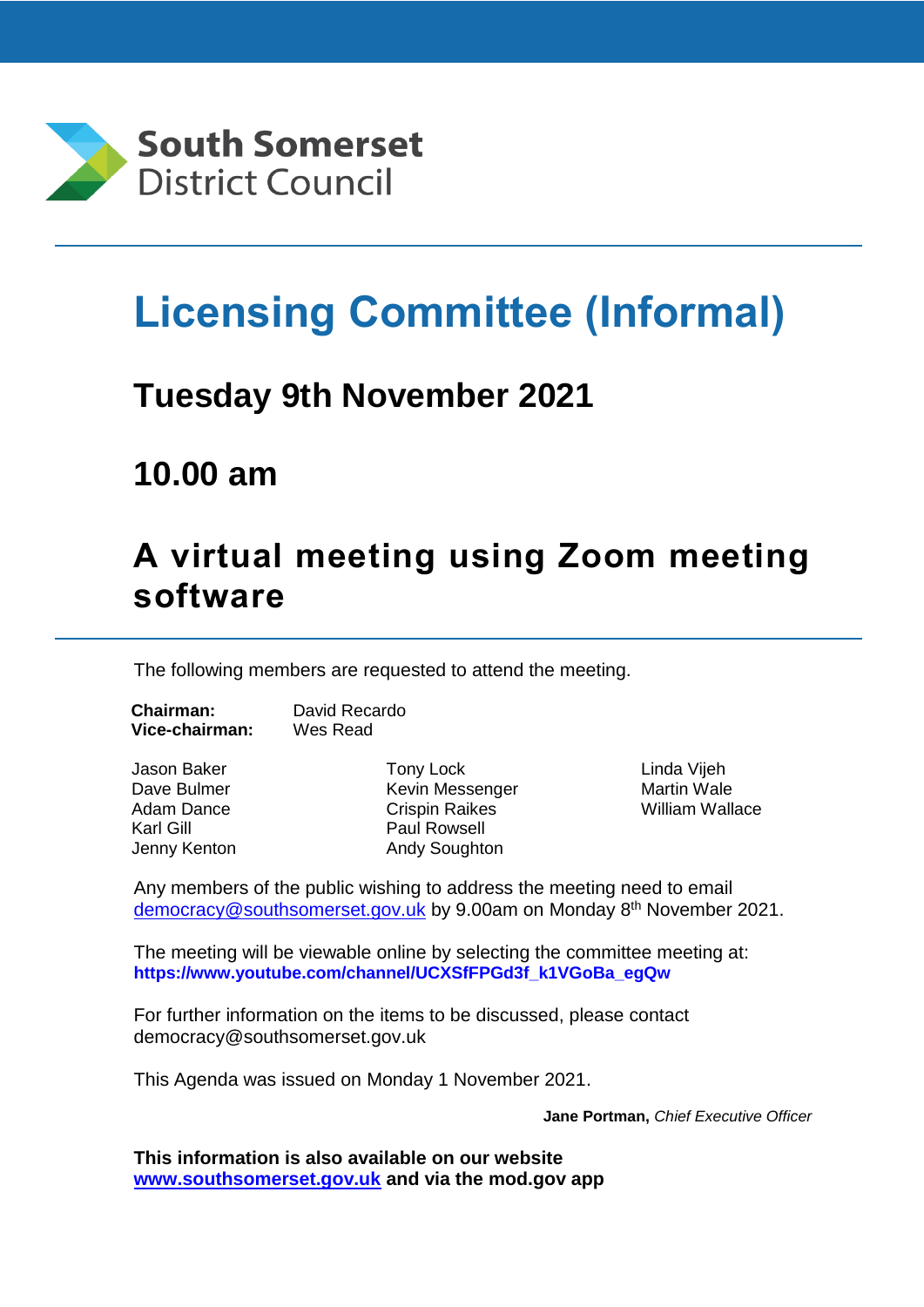

# **Licensing Committee (Informal)**

### **Tuesday 9th November 2021**

# **10.00 am**

# **A virtual meeting using Zoom meeting software**

The following members are requested to attend the meeting.

**Chairman:** David Recardo **Vice-chairman:** Wes Read

Jason Baker Dave Bulmer Adam Dance Karl Gill Jenny Kenton

Tony Lock Kevin Messenger Crispin Raikes Paul Rowsell Andy Soughton

Linda Vijeh Martin Wale William Wallace

Any members of the public wishing to address the meeting need to email [democracy@southsomerset.gov.uk](mailto:democracy@southsomerset.gov.uk) by 9.00am on Monday 8<sup>th</sup> November 2021.

The meeting will be viewable online by selecting the committee meeting at: **https://www.youtube.com/channel/UCXSfFPGd3f\_k1VGoBa\_egQw**

For further information on the items to be discussed, please contact democracy@southsomerset.gov.uk

This Agenda was issued on Monday 1 November 2021.

**Jane Portman,** *Chief Executive Officer*

**This information is also available on our website [www.southsomerset.gov.uk](http://www.southsomerset.gov.uk/) and via the mod.gov app**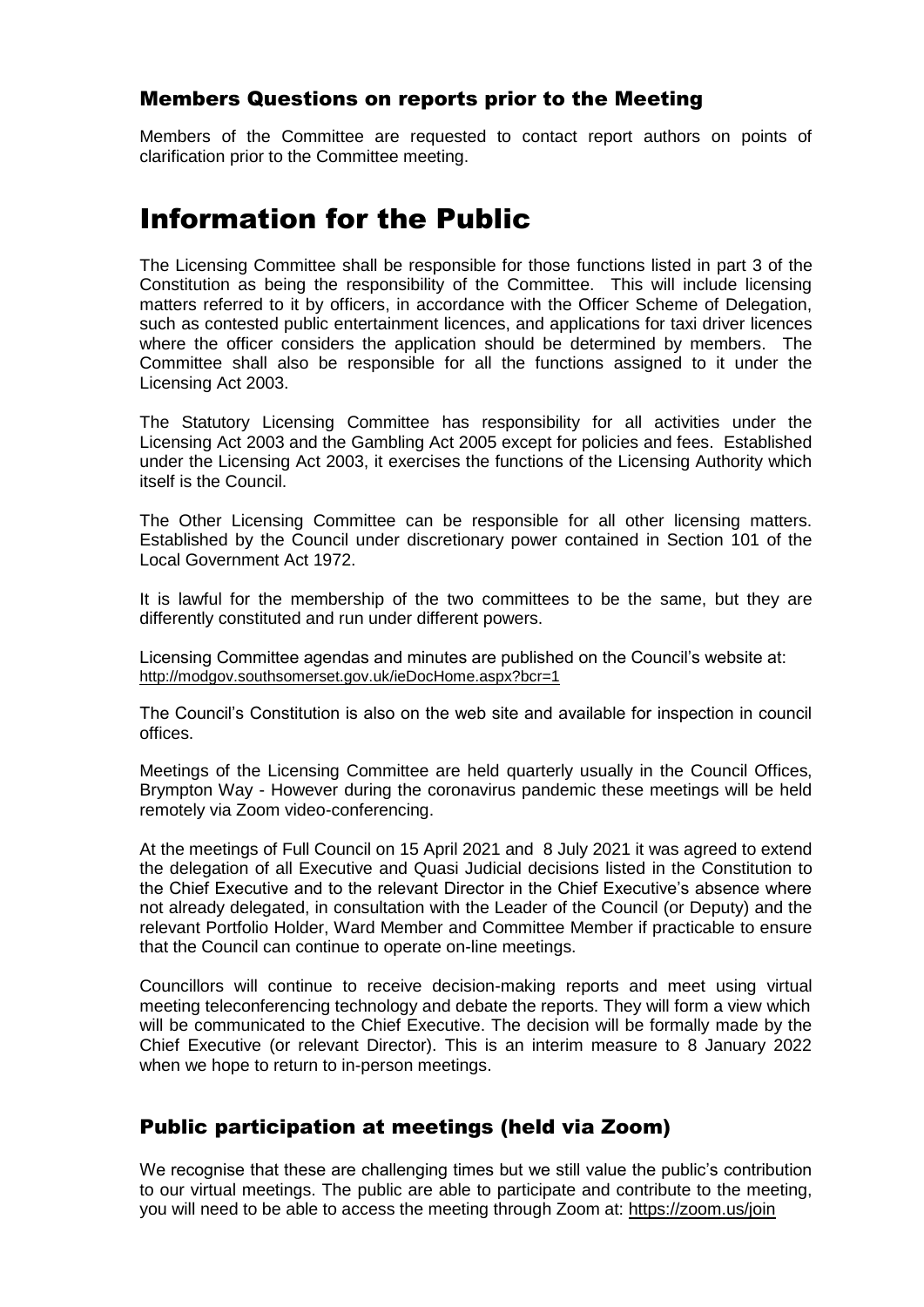### Members Questions on reports prior to the Meeting

Members of the Committee are requested to contact report authors on points of clarification prior to the Committee meeting.

### Information for the Public

The Licensing Committee shall be responsible for those functions listed in part 3 of the Constitution as being the responsibility of the Committee. This will include licensing matters referred to it by officers, in accordance with the Officer Scheme of Delegation, such as contested public entertainment licences, and applications for taxi driver licences where the officer considers the application should be determined by members. The Committee shall also be responsible for all the functions assigned to it under the Licensing Act 2003.

The Statutory Licensing Committee has responsibility for all activities under the Licensing Act 2003 and the Gambling Act 2005 except for policies and fees. Established under the Licensing Act 2003, it exercises the functions of the Licensing Authority which itself is the Council.

The Other Licensing Committee can be responsible for all other licensing matters. Established by the Council under discretionary power contained in Section 101 of the Local Government Act 1972.

It is lawful for the membership of the two committees to be the same, but they are differently constituted and run under different powers.

Licensing Committee agendas and minutes are published on the Council's website at: <http://modgov.southsomerset.gov.uk/ieDocHome.aspx?bcr=1>

The Council's Constitution is also on the web site and available for inspection in council offices.

Meetings of the Licensing Committee are held quarterly usually in the Council Offices, Brympton Way - However during the coronavirus pandemic these meetings will be held remotely via Zoom video-conferencing.

At the meetings of Full Council on 15 April 2021 and 8 July 2021 it was agreed to extend the delegation of all Executive and Quasi Judicial decisions listed in the Constitution to the Chief Executive and to the relevant Director in the Chief Executive's absence where not already delegated, in consultation with the Leader of the Council (or Deputy) and the relevant Portfolio Holder, Ward Member and Committee Member if practicable to ensure that the Council can continue to operate on-line meetings.

Councillors will continue to receive decision-making reports and meet using virtual meeting teleconferencing technology and debate the reports. They will form a view which will be communicated to the Chief Executive. The decision will be formally made by the Chief Executive (or relevant Director). This is an interim measure to 8 January 2022 when we hope to return to in-person meetings.

### Public participation at meetings (held via Zoom)

We recognise that these are challenging times but we still value the public's contribution to our virtual meetings. The public are able to participate and contribute to the meeting, you will need to be able to access the meeting through Zoom at:<https://zoom.us/join>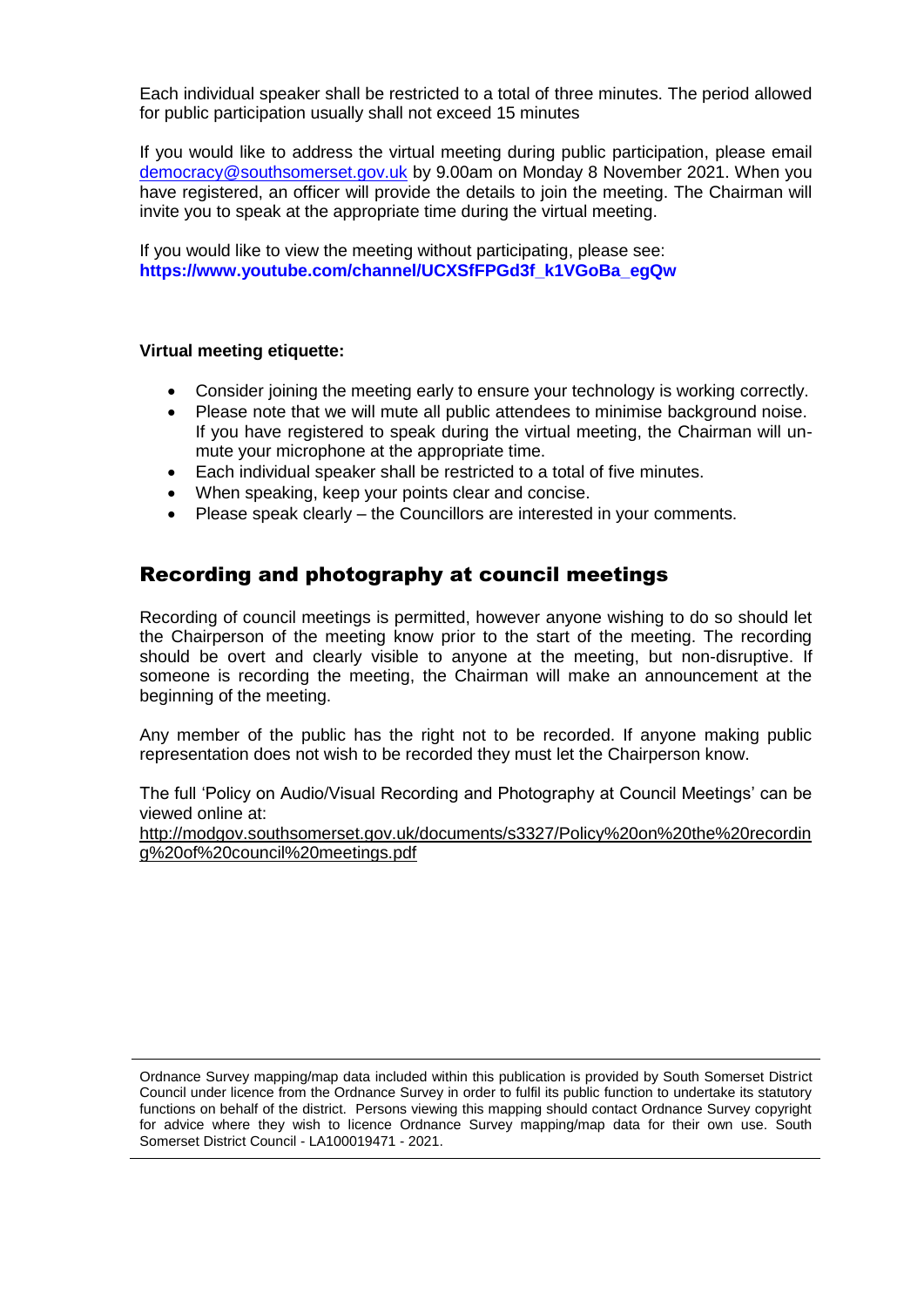Each individual speaker shall be restricted to a total of three minutes. The period allowed for public participation usually shall not exceed 15 minutes

If you would like to address the virtual meeting during public participation, please email [democracy@southsomerset.gov.uk](mailto:democracy@southsomerset.gov.uk) by 9.00am on Monday 8 November 2021. When you have registered, an officer will provide the details to join the meeting. The Chairman will invite you to speak at the appropriate time during the virtual meeting.

If you would like to view the meeting without participating, please see: **https://www.youtube.com/channel/UCXSfFPGd3f\_k1VGoBa\_egQw**

#### **Virtual meeting etiquette:**

- Consider joining the meeting early to ensure your technology is working correctly.
- Please note that we will mute all public attendees to minimise background noise. If you have registered to speak during the virtual meeting, the Chairman will unmute your microphone at the appropriate time.
- Each individual speaker shall be restricted to a total of five minutes.
- When speaking, keep your points clear and concise.
- Please speak clearly the Councillors are interested in your comments.

### Recording and photography at council meetings

Recording of council meetings is permitted, however anyone wishing to do so should let the Chairperson of the meeting know prior to the start of the meeting. The recording should be overt and clearly visible to anyone at the meeting, but non-disruptive. If someone is recording the meeting, the Chairman will make an announcement at the beginning of the meeting.

Any member of the public has the right not to be recorded. If anyone making public representation does not wish to be recorded they must let the Chairperson know.

The full 'Policy on Audio/Visual Recording and Photography at Council Meetings' can be viewed online at:

[http://modgov.southsomerset.gov.uk/documents/s3327/Policy%20on%20the%20recordin](http://modgov.southsomerset.gov.uk/documents/s3327/Policy%20on%20the%20recording%20of%20council%20meetings.pdf) [g%20of%20council%20meetings.pdf](http://modgov.southsomerset.gov.uk/documents/s3327/Policy%20on%20the%20recording%20of%20council%20meetings.pdf)

Ordnance Survey mapping/map data included within this publication is provided by South Somerset District Council under licence from the Ordnance Survey in order to fulfil its public function to undertake its statutory functions on behalf of the district. Persons viewing this mapping should contact Ordnance Survey copyright for advice where they wish to licence Ordnance Survey mapping/map data for their own use. South Somerset District Council - LA100019471 - 2021.